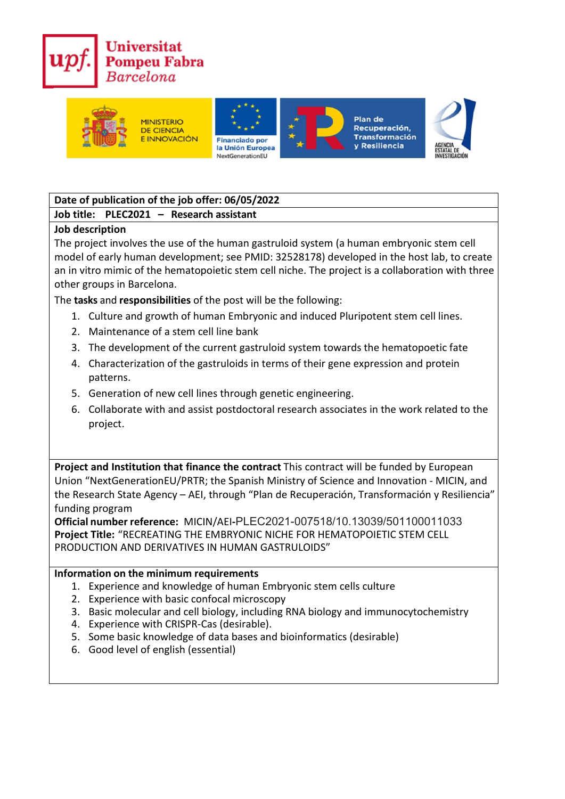



# **Date of publication of the job offer: 06/05/2022**

### **Job title: PLEC2021 – Research assistant**

#### **Job description**

The project involves the use of the human gastruloid system (a human embryonic stem cell model of early human development; see PMID: 32528178) developed in the host lab, to create an in vitro mimic of the hematopoietic stem cell niche. The project is a collaboration with three other groups in Barcelona.

The **tasks** and **responsibilities** of the post will be the following:

- 1. Culture and growth of human Embryonic and induced Pluripotent stem cell lines.
- 2. Maintenance of a stem cell line bank
- 3. The development of the current gastruloid system towards the hematopoetic fate
- 4. Characterization of the gastruloids in terms of their gene expression and protein patterns.
- 5. Generation of new cell lines through genetic engineering.
- 6. Collaborate with and assist postdoctoral research associates in the work related to the project.

**Project and Institution that finance the contract** This contract will be funded by European Union "NextGenerationEU/PRTR; the Spanish Ministry of Science and Innovation - MICIN, and the Research State Agency – AEI, through "Plan de Recuperación, Transformación y Resiliencia" funding program

**Official number reference:** MICIN/AEI**-**PLEC2021-007518/10.13039/501100011033 **Project Title:** "RECREATING THE EMBRYONIC NICHE FOR HEMATOPOIETIC STEM CELL PRODUCTION AND DERIVATIVES IN HUMAN GASTRULOIDS"

#### **Information on the minimum requirements**

- 1. Experience and knowledge of human Embryonic stem cells culture
- 2. Experience with basic confocal microscopy
- 3. Basic molecular and cell biology, including RNA biology and immunocytochemistry
- 4. Experience with CRISPR-Cas (desirable).
- 5. Some basic knowledge of data bases and bioinformatics (desirable)
- 6. Good level of english (essential)